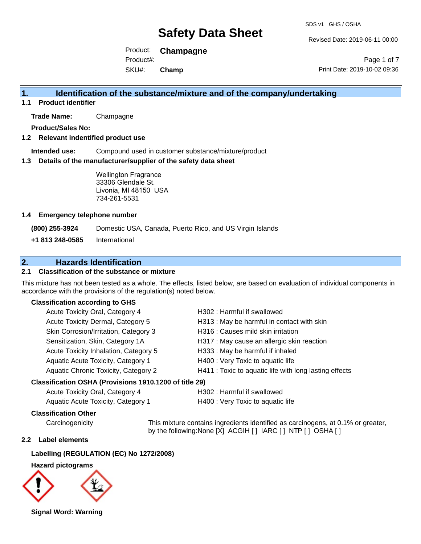Revised Date: 2019-06-11 00:00

Product: **Champagne**  SKU#: Product#: **Champ**

Page 1 of 7 Print Date: 2019-10-02 09:36

## **1. Identification of the substance/mixture and of the company/undertaking**

**1.1 Product identifier**

**Trade Name:** Champagne

**Product/Sales No:**

#### **1.2 Relevant indentified product use**

**Intended use:** Compound used in customer substance/mixture/product

#### **1.3 Details of the manufacturer/supplier of the safety data sheet**

Wellington Fragrance 33306 Glendale St. Livonia, MI 48150 USA 734-261-5531

#### **1.4 Emergency telephone number**

**(800) 255-3924** Domestic USA, Canada, Puerto Rico, and US Virgin Islands

**+1 813 248-0585** International

## **2. Hazards Identification**

#### **2.1 Classification of the substance or mixture**

This mixture has not been tested as a whole. The effects, listed below, are based on evaluation of individual components in accordance with the provisions of the regulation(s) noted below.

### **Classification according to GHS**

| Acute Toxicity Oral, Category 4       | H302: Harmful if swallowed                             |
|---------------------------------------|--------------------------------------------------------|
| Acute Toxicity Dermal, Category 5     | H313: May be harmful in contact with skin              |
| Skin Corrosion/Irritation, Category 3 | H316 : Causes mild skin irritation                     |
| Sensitization, Skin, Category 1A      | H317 : May cause an allergic skin reaction             |
| Acute Toxicity Inhalation, Category 5 | H333: May be harmful if inhaled                        |
| Aquatic Acute Toxicity, Category 1    | H400 : Very Toxic to aquatic life                      |
| Aquatic Chronic Toxicity, Category 2  | H411 : Toxic to aquatic life with long lasting effects |
|                                       |                                                        |

#### **Classification OSHA (Provisions 1910.1200 of title 29)**

| Acute Toxicity Oral, Category 4    | H302 : Harmful if swallowed       |
|------------------------------------|-----------------------------------|
| Aquatic Acute Toxicity, Category 1 | H400 : Very Toxic to aquatic life |

#### **Classification Other**

Carcinogenicity This mixture contains ingredients identified as carcinogens, at 0.1% or greater, by the following:None [X] ACGIH [ ] IARC [ ] NTP [ ] OSHA [ ]

#### **2.2 Label elements**

#### **Labelling (REGULATION (EC) No 1272/2008)**

#### **Hazard pictograms**



**Signal Word: Warning**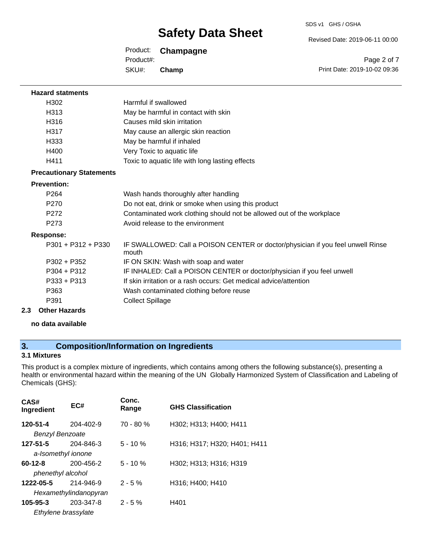SDS v1 GHS / OSHA

Revised Date: 2019-06-11 00:00

| Product:  | Champagne |
|-----------|-----------|
| Product#: |           |
| SKU#:     | Champ     |

Page 2 of 7 Print Date: 2019-10-02 09:36

| <b>Hazard statments</b>         |                                                                                          |
|---------------------------------|------------------------------------------------------------------------------------------|
| H302                            | Harmful if swallowed                                                                     |
| H313                            | May be harmful in contact with skin                                                      |
| H316                            | Causes mild skin irritation                                                              |
| H317                            | May cause an allergic skin reaction                                                      |
| H333                            | May be harmful if inhaled                                                                |
| H400                            | Very Toxic to aquatic life                                                               |
| H411                            | Toxic to aquatic life with long lasting effects                                          |
| <b>Precautionary Statements</b> |                                                                                          |
| <b>Prevention:</b>              |                                                                                          |
| P <sub>264</sub>                | Wash hands thoroughly after handling                                                     |
| P270                            | Do not eat, drink or smoke when using this product                                       |
| P <sub>272</sub>                | Contaminated work clothing should not be allowed out of the workplace                    |
| P <sub>273</sub>                | Avoid release to the environment                                                         |
| <b>Response:</b>                |                                                                                          |
| $P301 + P312 + P330$            | IF SWALLOWED: Call a POISON CENTER or doctor/physician if you feel unwell Rinse<br>mouth |
| $P302 + P352$                   | IF ON SKIN: Wash with soap and water                                                     |
| $P304 + P312$                   | IF INHALED: Call a POISON CENTER or doctor/physician if you feel unwell                  |
| $P333 + P313$                   | If skin irritation or a rash occurs: Get medical advice/attention                        |
| P363                            | Wash contaminated clothing before reuse                                                  |
| P391                            | <b>Collect Spillage</b>                                                                  |
| <b>Other Hazards</b><br>2.3     |                                                                                          |

**no data available**

# **3. Composition/Information on Ingredients**

## **3.1 Mixtures**

This product is a complex mixture of ingredients, which contains among others the following substance(s), presenting a health or environmental hazard within the meaning of the UN Globally Harmonized System of Classification and Labeling of Chemicals (GHS):

| CAS#<br>Ingredient                    | EC#                                | Conc.<br>Range | <b>GHS Classification</b>    |
|---------------------------------------|------------------------------------|----------------|------------------------------|
| 120-51-4<br><b>Benzyl Benzoate</b>    | 204-402-9                          | $70 - 80 \%$   | H302; H313; H400; H411       |
| $127 - 51 - 5$<br>a-Isomethyl ionone  | 204-846-3                          | $5 - 10 \%$    | H316; H317; H320; H401; H411 |
| $60 - 12 - 8$<br>phenethyl alcohol    | 200-456-2                          | $5 - 10 \%$    | H302; H313; H316; H319       |
| 1222-05-5                             | 214-946-9<br>Hexamethylindanopyran | $2 - 5%$       | H316; H400; H410             |
| $105 - 95 - 3$<br>Ethylene brassylate | 203-347-8                          | $2 - 5%$       | H401                         |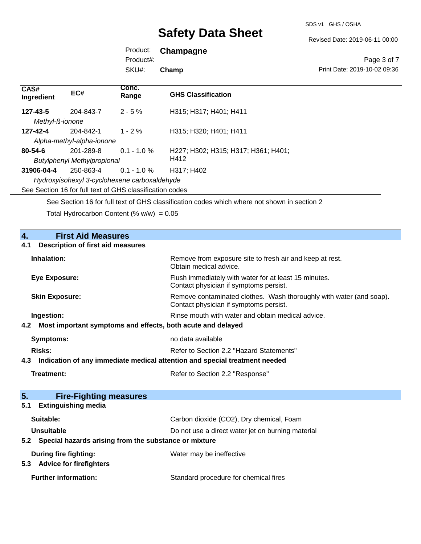SDS v1 GHS / OSHA

Revised Date: 2019-06-11 00:00

Product: **Champagne** 

Product#:

SKU#: **Champ**

Page 3 of 7 Print Date: 2019-10-02 09:36

| CAS#<br>Ingredient                                       | EC#       | Conc.<br>Range | <b>GHS Classification</b>           |
|----------------------------------------------------------|-----------|----------------|-------------------------------------|
| 127-43-5                                                 | 204-843-7 | $2 - 5 \%$     | H315; H317; H401; H411              |
| Methyl-ß-ionone                                          |           |                |                                     |
| 127-42-4                                                 | 204-842-1 | $1 - 2\%$      | H315: H320: H401: H411              |
| Alpha-methyl-alpha-ionone                                |           |                |                                     |
| $80 - 54 - 6$                                            | 201-289-8 | $0.1 - 1.0 \%$ | H227; H302; H315; H317; H361; H401; |
| <b>Butylphenyl Methylpropional</b>                       |           |                | H412                                |
| 31906-04-4                                               | 250-863-4 | $0.1 - 1.0 \%$ | H317: H402                          |
| Hydroxyisohexyl 3-cyclohexene carboxaldehyde             |           |                |                                     |
| See Section 16 for full text of GHS classification codes |           |                |                                     |

See Section 16 for full text of GHS classification codes which where not shown in section 2

Total Hydrocarbon Content  $(\% w/w) = 0.05$ 

| $\overline{4}$ .<br><b>First Aid Measures</b>                                     |                                                                                                               |
|-----------------------------------------------------------------------------------|---------------------------------------------------------------------------------------------------------------|
| <b>Description of first aid measures</b><br>4.1                                   |                                                                                                               |
| Inhalation:                                                                       |                                                                                                               |
|                                                                                   | Remove from exposure site to fresh air and keep at rest.<br>Obtain medical advice.                            |
| <b>Eye Exposure:</b>                                                              | Flush immediately with water for at least 15 minutes.<br>Contact physician if symptoms persist.               |
| <b>Skin Exposure:</b>                                                             | Remove contaminated clothes. Wash thoroughly with water (and soap).<br>Contact physician if symptoms persist. |
| Ingestion:                                                                        | Rinse mouth with water and obtain medical advice.                                                             |
| Most important symptoms and effects, both acute and delayed<br>4.2                |                                                                                                               |
| <b>Symptoms:</b>                                                                  | no data available                                                                                             |
| Risks:                                                                            | Refer to Section 2.2 "Hazard Statements"                                                                      |
| Indication of any immediate medical attention and special treatment needed<br>4.3 |                                                                                                               |
| Treatment:                                                                        | Refer to Section 2.2 "Response"                                                                               |
|                                                                                   |                                                                                                               |
| 5 <sub>1</sub><br><b>Fire-Fighting measures</b>                                   |                                                                                                               |
| <b>Extinguishing media</b><br>5.1                                                 |                                                                                                               |
| Suitable:                                                                         | Carbon dioxide (CO2), Dry chemical, Foam                                                                      |
| Unsuitable                                                                        | Do not use a direct water jet on burning material                                                             |
| Special hazards arising from the substance or mixture<br>5.2                      |                                                                                                               |
| <b>During fire fighting:</b>                                                      | Water may be ineffective                                                                                      |
| <b>Advice for firefighters</b><br>5.3                                             |                                                                                                               |
| <b>Further information:</b>                                                       | Standard procedure for chemical fires                                                                         |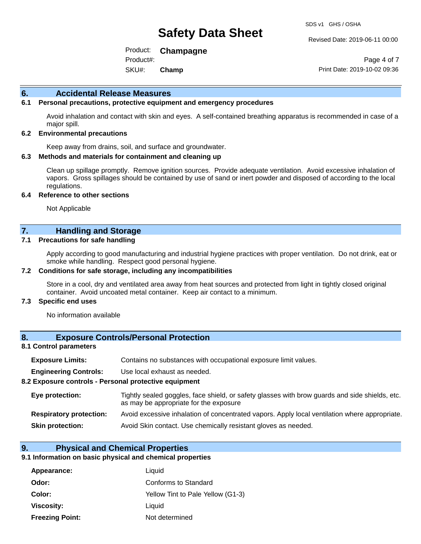Revised Date: 2019-06-11 00:00

Product: **Champagne**  SKU#: Product#: **Champ**

Page 4 of 7 Print Date: 2019-10-02 09:36

#### **6. Accidental Release Measures**

#### **6.1 Personal precautions, protective equipment and emergency procedures**

Avoid inhalation and contact with skin and eyes. A self-contained breathing apparatus is recommended in case of a major spill.

#### **6.2 Environmental precautions**

Keep away from drains, soil, and surface and groundwater.

#### **6.3 Methods and materials for containment and cleaning up**

Clean up spillage promptly. Remove ignition sources. Provide adequate ventilation. Avoid excessive inhalation of vapors. Gross spillages should be contained by use of sand or inert powder and disposed of according to the local regulations.

#### **6.4 Reference to other sections**

Not Applicable

### **7. Handling and Storage**

#### **7.1 Precautions for safe handling**

Apply according to good manufacturing and industrial hygiene practices with proper ventilation. Do not drink, eat or smoke while handling. Respect good personal hygiene.

#### **7.2 Conditions for safe storage, including any incompatibilities**

Store in a cool, dry and ventilated area away from heat sources and protected from light in tightly closed original container. Avoid uncoated metal container. Keep air contact to a minimum.

#### **7.3 Specific end uses**

No information available

#### **8. Exposure Controls/Personal Protection**

#### **8.1 Control parameters**

| <b>Exposure Limits:</b> |  |  |  | Contains no substances with occupational exposure limit values. |  |
|-------------------------|--|--|--|-----------------------------------------------------------------|--|
|-------------------------|--|--|--|-----------------------------------------------------------------|--|

**Engineering Controls:** Use local exhaust as needed.

#### **8.2 Exposure controls - Personal protective equipment**

| Eye protection:                | Tightly sealed goggles, face shield, or safety glasses with brow guards and side shields, etc.<br>as may be appropriate for the exposure |
|--------------------------------|------------------------------------------------------------------------------------------------------------------------------------------|
| <b>Respiratory protection:</b> | Avoid excessive inhalation of concentrated vapors. Apply local ventilation where appropriate.                                            |
| <b>Skin protection:</b>        | Avoid Skin contact. Use chemically resistant gloves as needed.                                                                           |

#### **9. Physical and Chemical Properties**

#### **9.1 Information on basic physical and chemical properties**

| Appearance:            | Liquid                            |
|------------------------|-----------------------------------|
| Odor:                  | Conforms to Standard              |
| Color:                 | Yellow Tint to Pale Yellow (G1-3) |
| Viscosity:             | Liquid                            |
| <b>Freezing Point:</b> | Not determined                    |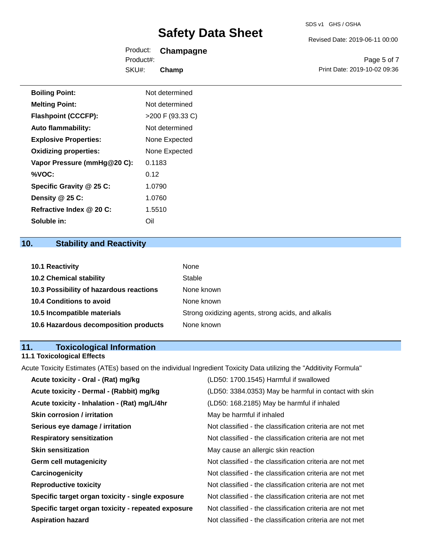Revised Date: 2019-06-11 00:00

|           | Product: <b>Champagne</b> |                              |
|-----------|---------------------------|------------------------------|
| Product#: |                           | Page 5 of 7                  |
| SKU#:     | Champ                     | Print Date: 2019-10-02 09:36 |

| <b>Boiling Point:</b>        | Not determined   |
|------------------------------|------------------|
| <b>Melting Point:</b>        | Not determined   |
| <b>Flashpoint (CCCFP):</b>   | >200 F (93.33 C) |
| <b>Auto flammability:</b>    | Not determined   |
| <b>Explosive Properties:</b> | None Expected    |
| <b>Oxidizing properties:</b> | None Expected    |
| Vapor Pressure (mmHg@20 C):  | 0.1183           |
| %VOC:                        | 0.12             |
| Specific Gravity @ 25 C:     | 1.0790           |
| Density $@25C$ :             | 1.0760           |
| Refractive Index @ 20 C:     | 1.5510           |
| Soluble in:                  | Oil              |

# **10. Stability and Reactivity**

| 10.1 Reactivity                         | None                                               |
|-----------------------------------------|----------------------------------------------------|
| <b>10.2 Chemical stability</b>          | Stable                                             |
| 10.3 Possibility of hazardous reactions | None known                                         |
| <b>10.4 Conditions to avoid</b>         | None known                                         |
| 10.5 Incompatible materials             | Strong oxidizing agents, strong acids, and alkalis |
| 10.6 Hazardous decomposition products   | None known                                         |

# **11. Toxicological Information**

# **11.1 Toxicological Effects**

Acute Toxicity Estimates (ATEs) based on the individual Ingredient Toxicity Data utilizing the "Additivity Formula"

| Acute toxicity - Oral - (Rat) mg/kg                | (LD50: 1700.1545) Harmful if swallowed                   |
|----------------------------------------------------|----------------------------------------------------------|
| Acute toxicity - Dermal - (Rabbit) mg/kg           | (LD50: 3384.0353) May be harmful in contact with skin    |
| Acute toxicity - Inhalation - (Rat) mg/L/4hr       | (LD50: 168.2185) May be harmful if inhaled               |
| <b>Skin corrosion / irritation</b>                 | May be harmful if inhaled                                |
| Serious eye damage / irritation                    | Not classified - the classification criteria are not met |
| <b>Respiratory sensitization</b>                   | Not classified - the classification criteria are not met |
| <b>Skin sensitization</b>                          | May cause an allergic skin reaction                      |
| <b>Germ cell mutagenicity</b>                      | Not classified - the classification criteria are not met |
| Carcinogenicity                                    | Not classified - the classification criteria are not met |
| <b>Reproductive toxicity</b>                       | Not classified - the classification criteria are not met |
| Specific target organ toxicity - single exposure   | Not classified - the classification criteria are not met |
| Specific target organ toxicity - repeated exposure | Not classified - the classification criteria are not met |
| <b>Aspiration hazard</b>                           | Not classified - the classification criteria are not met |
|                                                    |                                                          |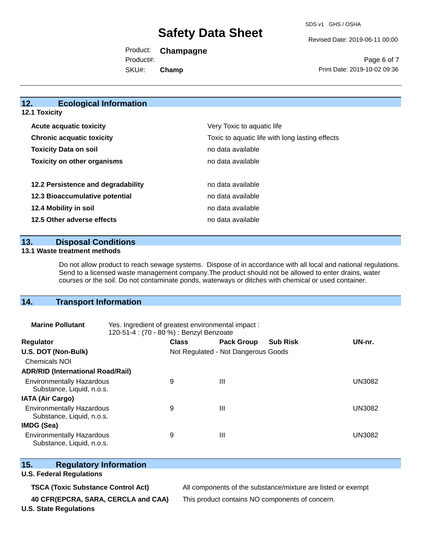Revised Date: 2019-06-11 00:00

Product: **Champagne**  SKU#: Product#: **Champ**

Page 6 of 7 Print Date: 2019-10-02 09:36

## **12. Ecological Information**

**12.1 Toxicity**

| <b>Acute acquatic toxicity</b>     | Very Toxic to aquatic life                      |
|------------------------------------|-------------------------------------------------|
| <b>Chronic acquatic toxicity</b>   | Toxic to aquatic life with long lasting effects |
| <b>Toxicity Data on soil</b>       | no data available                               |
| <b>Toxicity on other organisms</b> | no data available                               |
|                                    |                                                 |
| 12.2 Persistence and degradability | no data available                               |
| 12.3 Bioaccumulative potential     | no data available                               |
| 12.4 Mobility in soil              | no data available                               |
| 12.5 Other adverse effects         | no data available                               |

**13. Disposal Conditions** 

#### **13.1 Waste treatment methods**

Do not allow product to reach sewage systems. Dispose of in accordance with all local and national regulations. Send to a licensed waste management company.The product should not be allowed to enter drains, water courses or the soil. Do not contaminate ponds, waterways or ditches with chemical or used container.

## **14. Transport Information**

| <b>Marine Pollutant</b>                                       | Yes. Ingredient of greatest environmental impact:<br>120-51-4 : (70 - 80 %) : Benzyl Benzoate |                                     |                   |                 |               |
|---------------------------------------------------------------|-----------------------------------------------------------------------------------------------|-------------------------------------|-------------------|-----------------|---------------|
| <b>Regulator</b>                                              |                                                                                               | <b>Class</b>                        | <b>Pack Group</b> | <b>Sub Risk</b> | UN-nr.        |
| U.S. DOT (Non-Bulk)                                           |                                                                                               | Not Regulated - Not Dangerous Goods |                   |                 |               |
| <b>Chemicals NOI</b>                                          |                                                                                               |                                     |                   |                 |               |
| <b>ADR/RID (International Road/Rail)</b>                      |                                                                                               |                                     |                   |                 |               |
| <b>Environmentally Hazardous</b><br>Substance, Liquid, n.o.s. |                                                                                               | 9                                   | Ш                 |                 | UN3082        |
| <b>IATA (Air Cargo)</b>                                       |                                                                                               |                                     |                   |                 |               |
| <b>Environmentally Hazardous</b><br>Substance, Liquid, n.o.s. |                                                                                               | 9                                   | Ш                 |                 | <b>UN3082</b> |
| <b>IMDG (Sea)</b>                                             |                                                                                               |                                     |                   |                 |               |
| <b>Environmentally Hazardous</b><br>Substance, Liquid, n.o.s. |                                                                                               | 9                                   | Ш                 |                 | UN3082        |

## **15. Regulatory Information**

### **U.S. Federal Regulations**

**40 CFR(EPCRA, SARA, CERCLA and CAA)** This product contains NO components of concern.

**TSCA (Toxic Substance Control Act)** All components of the substance/mixture are listed or exempt

**U.S. State Regulations**